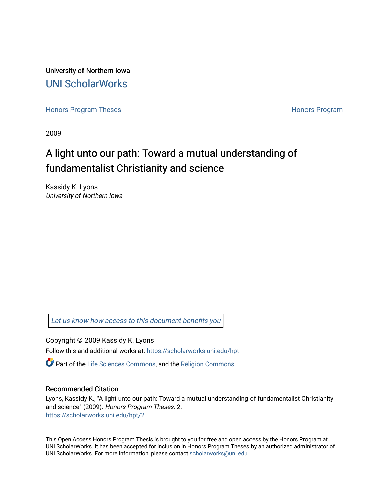University of Northern Iowa [UNI ScholarWorks](https://scholarworks.uni.edu/) 

[Honors Program Theses](https://scholarworks.uni.edu/hpt) **Honors Program** Honors Program

2009

# A light unto our path: Toward a mutual understanding of fundamentalist Christianity and science

Kassidy K. Lyons University of Northern Iowa

[Let us know how access to this document benefits you](https://scholarworks.uni.edu/feedback_form.html) 

Copyright © 2009 Kassidy K. Lyons

Follow this and additional works at: [https://scholarworks.uni.edu/hpt](https://scholarworks.uni.edu/hpt?utm_source=scholarworks.uni.edu%2Fhpt%2F2&utm_medium=PDF&utm_campaign=PDFCoverPages) 

Part of the [Life Sciences Commons,](http://network.bepress.com/hgg/discipline/1016?utm_source=scholarworks.uni.edu%2Fhpt%2F2&utm_medium=PDF&utm_campaign=PDFCoverPages) and the [Religion Commons](http://network.bepress.com/hgg/discipline/538?utm_source=scholarworks.uni.edu%2Fhpt%2F2&utm_medium=PDF&utm_campaign=PDFCoverPages) 

## Recommended Citation

Lyons, Kassidy K., "A light unto our path: Toward a mutual understanding of fundamentalist Christianity and science" (2009). Honors Program Theses. 2. [https://scholarworks.uni.edu/hpt/2](https://scholarworks.uni.edu/hpt/2?utm_source=scholarworks.uni.edu%2Fhpt%2F2&utm_medium=PDF&utm_campaign=PDFCoverPages) 

This Open Access Honors Program Thesis is brought to you for free and open access by the Honors Program at UNI ScholarWorks. It has been accepted for inclusion in Honors Program Theses by an authorized administrator of UNI ScholarWorks. For more information, please contact [scholarworks@uni.edu.](mailto:scholarworks@uni.edu)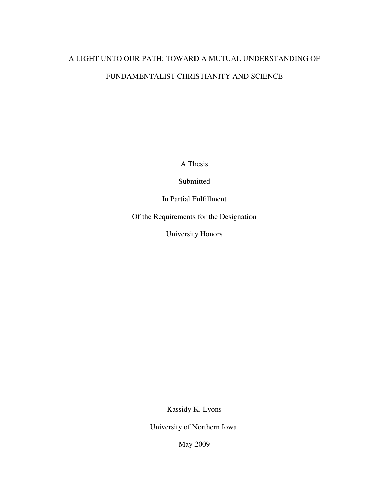# A LIGHT UNTO OUR PATH: TOWARD A MUTUAL UNDERSTANDING OF FUNDAMENTALIST CHRISTIANITY AND SCIENCE

A Thesis

Submitted

In Partial Fulfillment

Of the Requirements for the Designation

University Honors

Kassidy K. Lyons

University of Northern Iowa

May 2009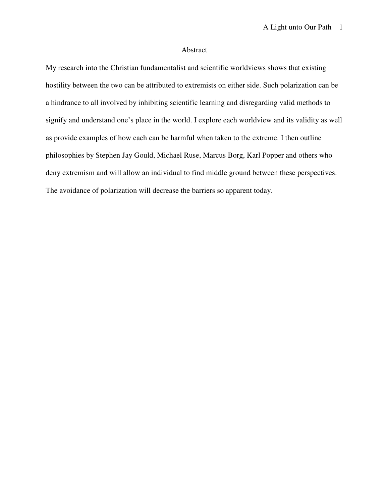# Abstract

My research into the Christian fundamentalist and scientific worldviews shows that existing hostility between the two can be attributed to extremists on either side. Such polarization can be a hindrance to all involved by inhibiting scientific learning and disregarding valid methods to signify and understand one's place in the world. I explore each worldview and its validity as well as provide examples of how each can be harmful when taken to the extreme. I then outline philosophies by Stephen Jay Gould, Michael Ruse, Marcus Borg, Karl Popper and others who deny extremism and will allow an individual to find middle ground between these perspectives. The avoidance of polarization will decrease the barriers so apparent today.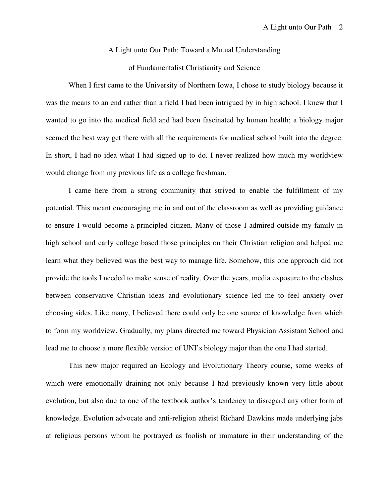#### A Light unto Our Path: Toward a Mutual Understanding

# of Fundamentalist Christianity and Science

When I first came to the University of Northern Iowa, I chose to study biology because it was the means to an end rather than a field I had been intrigued by in high school. I knew that I wanted to go into the medical field and had been fascinated by human health; a biology major seemed the best way get there with all the requirements for medical school built into the degree. In short, I had no idea what I had signed up to do. I never realized how much my worldview would change from my previous life as a college freshman.

I came here from a strong community that strived to enable the fulfillment of my potential. This meant encouraging me in and out of the classroom as well as providing guidance to ensure I would become a principled citizen. Many of those I admired outside my family in high school and early college based those principles on their Christian religion and helped me learn what they believed was the best way to manage life. Somehow, this one approach did not provide the tools I needed to make sense of reality. Over the years, media exposure to the clashes between conservative Christian ideas and evolutionary science led me to feel anxiety over choosing sides. Like many, I believed there could only be one source of knowledge from which to form my worldview. Gradually, my plans directed me toward Physician Assistant School and lead me to choose a more flexible version of UNI's biology major than the one I had started.

This new major required an Ecology and Evolutionary Theory course, some weeks of which were emotionally draining not only because I had previously known very little about evolution, but also due to one of the textbook author's tendency to disregard any other form of knowledge. Evolution advocate and anti-religion atheist Richard Dawkins made underlying jabs at religious persons whom he portrayed as foolish or immature in their understanding of the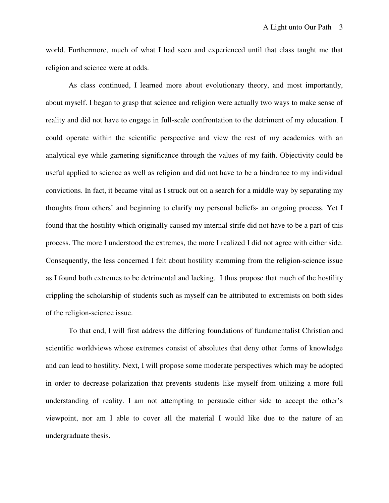world. Furthermore, much of what I had seen and experienced until that class taught me that religion and science were at odds.

As class continued, I learned more about evolutionary theory, and most importantly, about myself. I began to grasp that science and religion were actually two ways to make sense of reality and did not have to engage in full-scale confrontation to the detriment of my education. I could operate within the scientific perspective and view the rest of my academics with an analytical eye while garnering significance through the values of my faith. Objectivity could be useful applied to science as well as religion and did not have to be a hindrance to my individual convictions. In fact, it became vital as I struck out on a search for a middle way by separating my thoughts from others' and beginning to clarify my personal beliefs- an ongoing process. Yet I found that the hostility which originally caused my internal strife did not have to be a part of this process. The more I understood the extremes, the more I realized I did not agree with either side. Consequently, the less concerned I felt about hostility stemming from the religion-science issue as I found both extremes to be detrimental and lacking. I thus propose that much of the hostility crippling the scholarship of students such as myself can be attributed to extremists on both sides of the religion-science issue.

To that end, I will first address the differing foundations of fundamentalist Christian and scientific worldviews whose extremes consist of absolutes that deny other forms of knowledge and can lead to hostility. Next, I will propose some moderate perspectives which may be adopted in order to decrease polarization that prevents students like myself from utilizing a more full understanding of reality. I am not attempting to persuade either side to accept the other's viewpoint, nor am I able to cover all the material I would like due to the nature of an undergraduate thesis.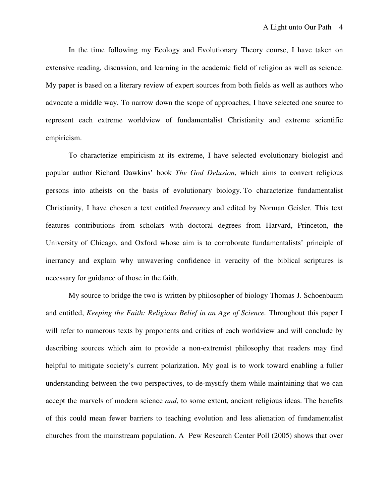In the time following my Ecology and Evolutionary Theory course, I have taken on extensive reading, discussion, and learning in the academic field of religion as well as science. My paper is based on a literary review of expert sources from both fields as well as authors who advocate a middle way. To narrow down the scope of approaches, I have selected one source to represent each extreme worldview of fundamentalist Christianity and extreme scientific empiricism.

To characterize empiricism at its extreme, I have selected evolutionary biologist and popular author Richard Dawkins' book *The God Delusion*, which aims to convert religious persons into atheists on the basis of evolutionary biology. To characterize fundamentalist Christianity, I have chosen a text entitled *Inerrancy* and edited by Norman Geisler. This text features contributions from scholars with doctoral degrees from Harvard, Princeton, the University of Chicago, and Oxford whose aim is to corroborate fundamentalists' principle of inerrancy and explain why unwavering confidence in veracity of the biblical scriptures is necessary for guidance of those in the faith.

My source to bridge the two is written by philosopher of biology Thomas J. Schoenbaum and entitled, *Keeping the Faith: Religious Belief in an Age of Science.* Throughout this paper I will refer to numerous texts by proponents and critics of each worldview and will conclude by describing sources which aim to provide a non-extremist philosophy that readers may find helpful to mitigate society's current polarization. My goal is to work toward enabling a fuller understanding between the two perspectives, to de-mystify them while maintaining that we can accept the marvels of modern science *and*, to some extent, ancient religious ideas. The benefits of this could mean fewer barriers to teaching evolution and less alienation of fundamentalist churches from the mainstream population. A Pew Research Center Poll (2005) shows that over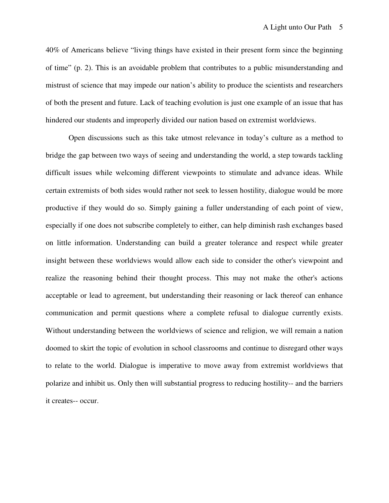40% of Americans believe "living things have existed in their present form since the beginning of time" (p. 2). This is an avoidable problem that contributes to a public misunderstanding and mistrust of science that may impede our nation's ability to produce the scientists and researchers of both the present and future. Lack of teaching evolution is just one example of an issue that has hindered our students and improperly divided our nation based on extremist worldviews.

Open discussions such as this take utmost relevance in today's culture as a method to bridge the gap between two ways of seeing and understanding the world, a step towards tackling difficult issues while welcoming different viewpoints to stimulate and advance ideas. While certain extremists of both sides would rather not seek to lessen hostility, dialogue would be more productive if they would do so. Simply gaining a fuller understanding of each point of view, especially if one does not subscribe completely to either, can help diminish rash exchanges based on little information. Understanding can build a greater tolerance and respect while greater insight between these worldviews would allow each side to consider the other's viewpoint and realize the reasoning behind their thought process. This may not make the other's actions acceptable or lead to agreement, but understanding their reasoning or lack thereof can enhance communication and permit questions where a complete refusal to dialogue currently exists. Without understanding between the worldviews of science and religion, we will remain a nation doomed to skirt the topic of evolution in school classrooms and continue to disregard other ways to relate to the world. Dialogue is imperative to move away from extremist worldviews that polarize and inhibit us. Only then will substantial progress to reducing hostility-- and the barriers it creates-- occur.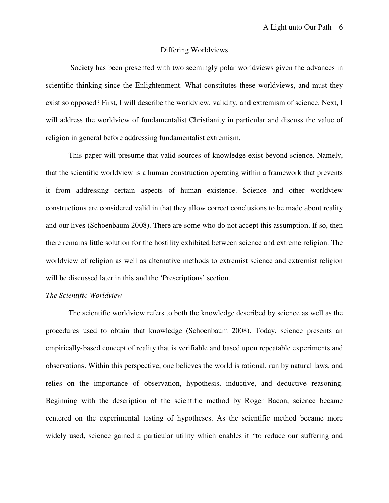#### Differing Worldviews

 Society has been presented with two seemingly polar worldviews given the advances in scientific thinking since the Enlightenment. What constitutes these worldviews, and must they exist so opposed? First, I will describe the worldview, validity, and extremism of science. Next, I will address the worldview of fundamentalist Christianity in particular and discuss the value of religion in general before addressing fundamentalist extremism.

This paper will presume that valid sources of knowledge exist beyond science. Namely, that the scientific worldview is a human construction operating within a framework that prevents it from addressing certain aspects of human existence. Science and other worldview constructions are considered valid in that they allow correct conclusions to be made about reality and our lives (Schoenbaum 2008). There are some who do not accept this assumption. If so, then there remains little solution for the hostility exhibited between science and extreme religion. The worldview of religion as well as alternative methods to extremist science and extremist religion will be discussed later in this and the 'Prescriptions' section.

## *The Scientific Worldview*

The scientific worldview refers to both the knowledge described by science as well as the procedures used to obtain that knowledge (Schoenbaum 2008). Today, science presents an empirically-based concept of reality that is verifiable and based upon repeatable experiments and observations. Within this perspective, one believes the world is rational, run by natural laws, and relies on the importance of observation, hypothesis, inductive, and deductive reasoning. Beginning with the description of the scientific method by Roger Bacon, science became centered on the experimental testing of hypotheses. As the scientific method became more widely used, science gained a particular utility which enables it "to reduce our suffering and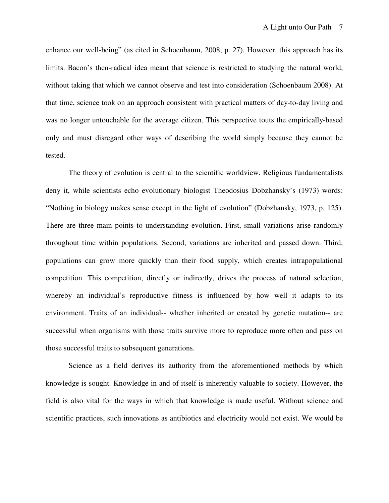enhance our well-being" (as cited in Schoenbaum, 2008, p. 27). However, this approach has its limits. Bacon's then-radical idea meant that science is restricted to studying the natural world, without taking that which we cannot observe and test into consideration (Schoenbaum 2008). At that time, science took on an approach consistent with practical matters of day-to-day living and was no longer untouchable for the average citizen. This perspective touts the empirically-based only and must disregard other ways of describing the world simply because they cannot be tested.

The theory of evolution is central to the scientific worldview. Religious fundamentalists deny it, while scientists echo evolutionary biologist Theodosius Dobzhansky's (1973) words: "Nothing in biology makes sense except in the light of evolution" (Dobzhansky, 1973, p. 125). There are three main points to understanding evolution. First, small variations arise randomly throughout time within populations. Second, variations are inherited and passed down. Third, populations can grow more quickly than their food supply, which creates intrapopulational competition. This competition, directly or indirectly, drives the process of natural selection, whereby an individual's reproductive fitness is influenced by how well it adapts to its environment. Traits of an individual-- whether inherited or created by genetic mutation-- are successful when organisms with those traits survive more to reproduce more often and pass on those successful traits to subsequent generations.

Science as a field derives its authority from the aforementioned methods by which knowledge is sought. Knowledge in and of itself is inherently valuable to society. However, the field is also vital for the ways in which that knowledge is made useful. Without science and scientific practices, such innovations as antibiotics and electricity would not exist. We would be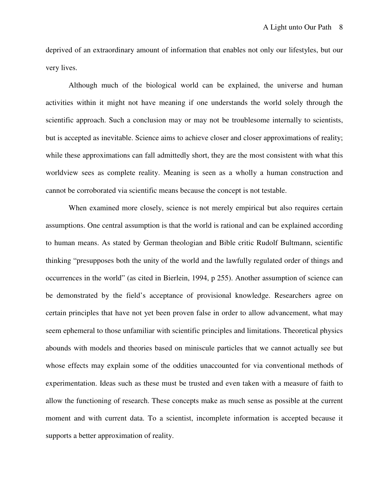deprived of an extraordinary amount of information that enables not only our lifestyles, but our very lives.

 Although much of the biological world can be explained, the universe and human activities within it might not have meaning if one understands the world solely through the scientific approach. Such a conclusion may or may not be troublesome internally to scientists, but is accepted as inevitable. Science aims to achieve closer and closer approximations of reality; while these approximations can fall admittedly short, they are the most consistent with what this worldview sees as complete reality. Meaning is seen as a wholly a human construction and cannot be corroborated via scientific means because the concept is not testable.

When examined more closely, science is not merely empirical but also requires certain assumptions. One central assumption is that the world is rational and can be explained according to human means. As stated by German theologian and Bible critic Rudolf Bultmann, scientific thinking "presupposes both the unity of the world and the lawfully regulated order of things and occurrences in the world" (as cited in Bierlein, 1994, p 255). Another assumption of science can be demonstrated by the field's acceptance of provisional knowledge. Researchers agree on certain principles that have not yet been proven false in order to allow advancement, what may seem ephemeral to those unfamiliar with scientific principles and limitations. Theoretical physics abounds with models and theories based on miniscule particles that we cannot actually see but whose effects may explain some of the oddities unaccounted for via conventional methods of experimentation. Ideas such as these must be trusted and even taken with a measure of faith to allow the functioning of research. These concepts make as much sense as possible at the current moment and with current data. To a scientist, incomplete information is accepted because it supports a better approximation of reality.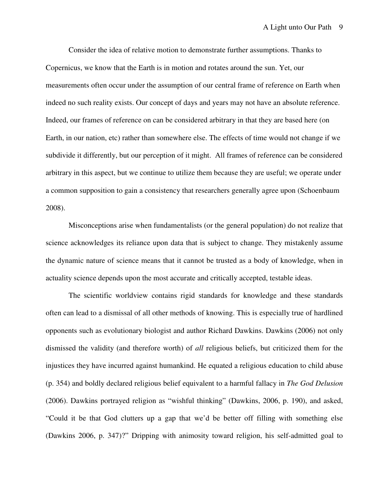Consider the idea of relative motion to demonstrate further assumptions. Thanks to Copernicus, we know that the Earth is in motion and rotates around the sun. Yet, our measurements often occur under the assumption of our central frame of reference on Earth when indeed no such reality exists. Our concept of days and years may not have an absolute reference. Indeed, our frames of reference on can be considered arbitrary in that they are based here (on Earth, in our nation, etc) rather than somewhere else. The effects of time would not change if we subdivide it differently, but our perception of it might. All frames of reference can be considered arbitrary in this aspect, but we continue to utilize them because they are useful; we operate under a common supposition to gain a consistency that researchers generally agree upon (Schoenbaum 2008).

Misconceptions arise when fundamentalists (or the general population) do not realize that science acknowledges its reliance upon data that is subject to change. They mistakenly assume the dynamic nature of science means that it cannot be trusted as a body of knowledge, when in actuality science depends upon the most accurate and critically accepted, testable ideas.

The scientific worldview contains rigid standards for knowledge and these standards often can lead to a dismissal of all other methods of knowing. This is especially true of hardlined opponents such as evolutionary biologist and author Richard Dawkins. Dawkins (2006) not only dismissed the validity (and therefore worth) of *all* religious beliefs, but criticized them for the injustices they have incurred against humankind. He equated a religious education to child abuse (p. 354) and boldly declared religious belief equivalent to a harmful fallacy in *The God Delusion*  (2006). Dawkins portrayed religion as "wishful thinking" (Dawkins, 2006, p. 190), and asked, "Could it be that God clutters up a gap that we'd be better off filling with something else (Dawkins 2006, p. 347)?" Dripping with animosity toward religion, his self-admitted goal to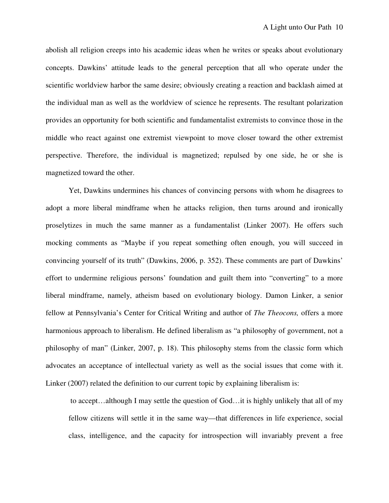abolish all religion creeps into his academic ideas when he writes or speaks about evolutionary concepts. Dawkins' attitude leads to the general perception that all who operate under the scientific worldview harbor the same desire; obviously creating a reaction and backlash aimed at the individual man as well as the worldview of science he represents. The resultant polarization provides an opportunity for both scientific and fundamentalist extremists to convince those in the middle who react against one extremist viewpoint to move closer toward the other extremist perspective. Therefore, the individual is magnetized; repulsed by one side, he or she is magnetized toward the other.

Yet, Dawkins undermines his chances of convincing persons with whom he disagrees to adopt a more liberal mindframe when he attacks religion, then turns around and ironically proselytizes in much the same manner as a fundamentalist (Linker 2007). He offers such mocking comments as "Maybe if you repeat something often enough, you will succeed in convincing yourself of its truth" (Dawkins, 2006, p. 352). These comments are part of Dawkins' effort to undermine religious persons' foundation and guilt them into "converting" to a more liberal mindframe, namely, atheism based on evolutionary biology. Damon Linker, a senior fellow at Pennsylvania's Center for Critical Writing and author of *The Theocons,* offers a more harmonious approach to liberalism. He defined liberalism as "a philosophy of government, not a philosophy of man" (Linker, 2007, p. 18). This philosophy stems from the classic form which advocates an acceptance of intellectual variety as well as the social issues that come with it. Linker (2007) related the definition to our current topic by explaining liberalism is:

 to accept…although I may settle the question of God…it is highly unlikely that all of my fellow citizens will settle it in the same way—that differences in life experience, social class, intelligence, and the capacity for introspection will invariably prevent a free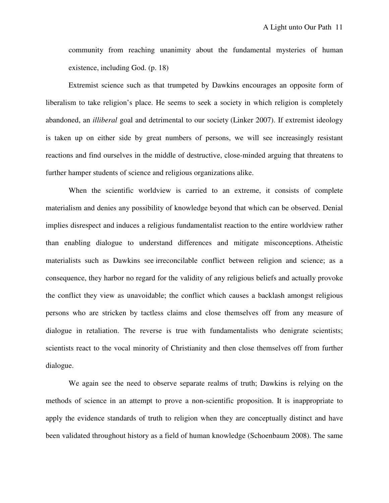community from reaching unanimity about the fundamental mysteries of human existence, including God. (p. 18)

 Extremist science such as that trumpeted by Dawkins encourages an opposite form of liberalism to take religion's place. He seems to seek a society in which religion is completely abandoned, an *illiberal* goal and detrimental to our society (Linker 2007). If extremist ideology is taken up on either side by great numbers of persons, we will see increasingly resistant reactions and find ourselves in the middle of destructive, close-minded arguing that threatens to further hamper students of science and religious organizations alike.

When the scientific worldview is carried to an extreme, it consists of complete materialism and denies any possibility of knowledge beyond that which can be observed. Denial implies disrespect and induces a religious fundamentalist reaction to the entire worldview rather than enabling dialogue to understand differences and mitigate misconceptions. Atheistic materialists such as Dawkins see irreconcilable conflict between religion and science; as a consequence, they harbor no regard for the validity of any religious beliefs and actually provoke the conflict they view as unavoidable; the conflict which causes a backlash amongst religious persons who are stricken by tactless claims and close themselves off from any measure of dialogue in retaliation. The reverse is true with fundamentalists who denigrate scientists; scientists react to the vocal minority of Christianity and then close themselves off from further dialogue.

We again see the need to observe separate realms of truth; Dawkins is relying on the methods of science in an attempt to prove a non-scientific proposition. It is inappropriate to apply the evidence standards of truth to religion when they are conceptually distinct and have been validated throughout history as a field of human knowledge (Schoenbaum 2008). The same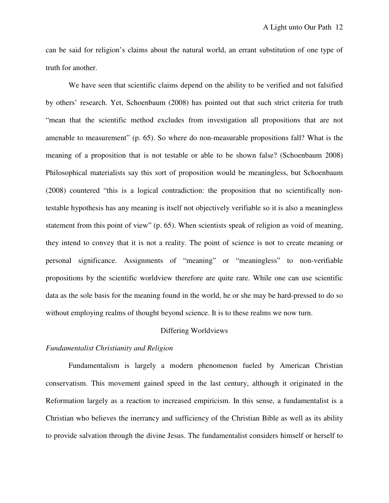can be said for religion's claims about the natural world, an errant substitution of one type of truth for another.

We have seen that scientific claims depend on the ability to be verified and not falsified by others' research. Yet, Schoenbaum (2008) has pointed out that such strict criteria for truth "mean that the scientific method excludes from investigation all propositions that are not amenable to measurement" (p. 65). So where do non-measurable propositions fall? What is the meaning of a proposition that is not testable or able to be shown false? (Schoenbaum 2008) Philosophical materialists say this sort of proposition would be meaningless, but Schoenbaum (2008) countered "this is a logical contradiction: the proposition that no scientifically nontestable hypothesis has any meaning is itself not objectively verifiable so it is also a meaningless statement from this point of view" (p. 65). When scientists speak of religion as void of meaning, they intend to convey that it is not a reality. The point of science is not to create meaning or personal significance. Assignments of "meaning" or "meaningless" to non-verifiable propositions by the scientific worldview therefore are quite rare. While one can use scientific data as the sole basis for the meaning found in the world, he or she may be hard-pressed to do so without employing realms of thought beyond science. It is to these realms we now turn.

### Differing Worldviews

#### *Fundamentalist Christianity and Religion*

Fundamentalism is largely a modern phenomenon fueled by American Christian conservatism. This movement gained speed in the last century, although it originated in the Reformation largely as a reaction to increased empiricism. In this sense, a fundamentalist is a Christian who believes the inerrancy and sufficiency of the Christian Bible as well as its ability to provide salvation through the divine Jesus. The fundamentalist considers himself or herself to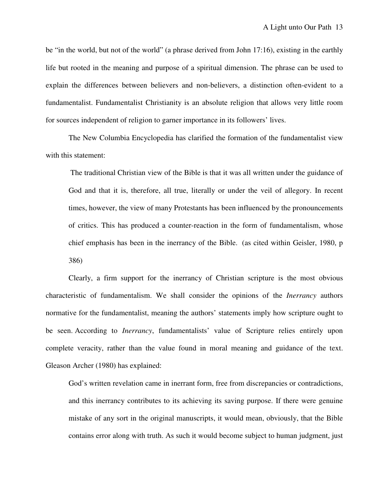be "in the world, but not of the world" (a phrase derived from John 17:16), existing in the earthly life but rooted in the meaning and purpose of a spiritual dimension. The phrase can be used to explain the differences between believers and non-believers, a distinction often-evident to a fundamentalist. Fundamentalist Christianity is an absolute religion that allows very little room for sources independent of religion to garner importance in its followers' lives.

The New Columbia Encyclopedia has clarified the formation of the fundamentalist view with this statement:

 The traditional Christian view of the Bible is that it was all written under the guidance of God and that it is, therefore, all true, literally or under the veil of allegory. In recent times, however, the view of many Protestants has been influenced by the pronouncements of critics. This has produced a counter-reaction in the form of fundamentalism, whose chief emphasis has been in the inerrancy of the Bible. (as cited within Geisler, 1980, p 386)

 Clearly, a firm support for the inerrancy of Christian scripture is the most obvious characteristic of fundamentalism. We shall consider the opinions of the *Inerrancy* authors normative for the fundamentalist, meaning the authors' statements imply how scripture ought to be seen. According to *Inerrancy*, fundamentalists' value of Scripture relies entirely upon complete veracity, rather than the value found in moral meaning and guidance of the text. Gleason Archer (1980) has explained:

God's written revelation came in inerrant form, free from discrepancies or contradictions, and this inerrancy contributes to its achieving its saving purpose. If there were genuine mistake of any sort in the original manuscripts, it would mean, obviously, that the Bible contains error along with truth. As such it would become subject to human judgment, just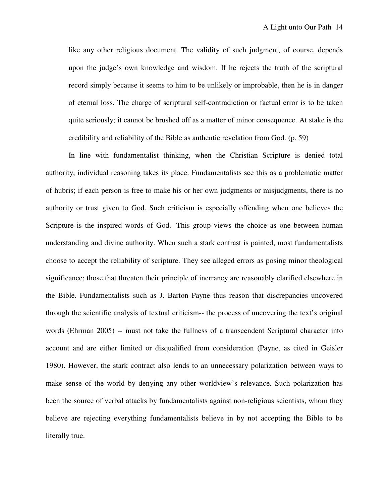like any other religious document. The validity of such judgment, of course, depends upon the judge's own knowledge and wisdom. If he rejects the truth of the scriptural record simply because it seems to him to be unlikely or improbable, then he is in danger of eternal loss. The charge of scriptural self-contradiction or factual error is to be taken quite seriously; it cannot be brushed off as a matter of minor consequence. At stake is the credibility and reliability of the Bible as authentic revelation from God. (p. 59)

In line with fundamentalist thinking, when the Christian Scripture is denied total authority, individual reasoning takes its place. Fundamentalists see this as a problematic matter of hubris; if each person is free to make his or her own judgments or misjudgments, there is no authority or trust given to God. Such criticism is especially offending when one believes the Scripture is the inspired words of God. This group views the choice as one between human understanding and divine authority. When such a stark contrast is painted, most fundamentalists choose to accept the reliability of scripture. They see alleged errors as posing minor theological significance; those that threaten their principle of inerrancy are reasonably clarified elsewhere in the Bible. Fundamentalists such as J. Barton Payne thus reason that discrepancies uncovered through the scientific analysis of textual criticism-- the process of uncovering the text's original words (Ehrman 2005) -- must not take the fullness of a transcendent Scriptural character into account and are either limited or disqualified from consideration (Payne, as cited in Geisler 1980). However, the stark contract also lends to an unnecessary polarization between ways to make sense of the world by denying any other worldview's relevance. Such polarization has been the source of verbal attacks by fundamentalists against non-religious scientists, whom they believe are rejecting everything fundamentalists believe in by not accepting the Bible to be literally true.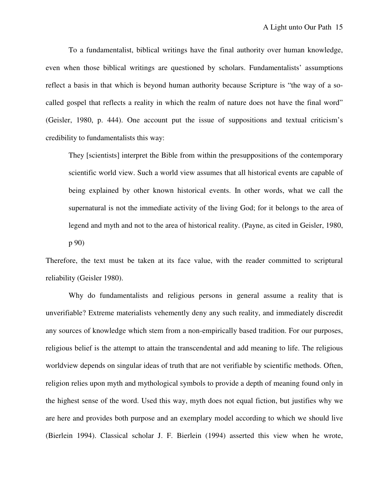To a fundamentalist, biblical writings have the final authority over human knowledge, even when those biblical writings are questioned by scholars. Fundamentalists' assumptions reflect a basis in that which is beyond human authority because Scripture is "the way of a socalled gospel that reflects a reality in which the realm of nature does not have the final word" (Geisler, 1980, p. 444). One account put the issue of suppositions and textual criticism's credibility to fundamentalists this way:

They [scientists] interpret the Bible from within the presuppositions of the contemporary scientific world view. Such a world view assumes that all historical events are capable of being explained by other known historical events. In other words, what we call the supernatural is not the immediate activity of the living God; for it belongs to the area of legend and myth and not to the area of historical reality. (Payne, as cited in Geisler, 1980, p 90)

Therefore, the text must be taken at its face value, with the reader committed to scriptural reliability (Geisler 1980).

 Why do fundamentalists and religious persons in general assume a reality that is unverifiable? Extreme materialists vehemently deny any such reality, and immediately discredit any sources of knowledge which stem from a non-empirically based tradition. For our purposes, religious belief is the attempt to attain the transcendental and add meaning to life. The religious worldview depends on singular ideas of truth that are not verifiable by scientific methods. Often, religion relies upon myth and mythological symbols to provide a depth of meaning found only in the highest sense of the word. Used this way, myth does not equal fiction, but justifies why we are here and provides both purpose and an exemplary model according to which we should live (Bierlein 1994). Classical scholar J. F. Bierlein (1994) asserted this view when he wrote,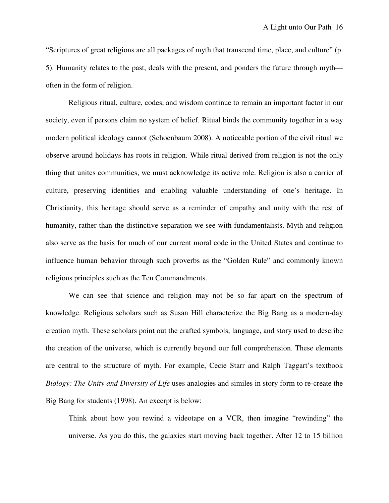"Scriptures of great religions are all packages of myth that transcend time, place, and culture" (p. 5). Humanity relates to the past, deals with the present, and ponders the future through myth often in the form of religion.

 Religious ritual, culture, codes, and wisdom continue to remain an important factor in our society, even if persons claim no system of belief. Ritual binds the community together in a way modern political ideology cannot (Schoenbaum 2008). A noticeable portion of the civil ritual we observe around holidays has roots in religion. While ritual derived from religion is not the only thing that unites communities, we must acknowledge its active role. Religion is also a carrier of culture, preserving identities and enabling valuable understanding of one's heritage. In Christianity, this heritage should serve as a reminder of empathy and unity with the rest of humanity, rather than the distinctive separation we see with fundamentalists. Myth and religion also serve as the basis for much of our current moral code in the United States and continue to influence human behavior through such proverbs as the "Golden Rule" and commonly known religious principles such as the Ten Commandments.

 We can see that science and religion may not be so far apart on the spectrum of knowledge. Religious scholars such as Susan Hill characterize the Big Bang as a modern-day creation myth. These scholars point out the crafted symbols, language, and story used to describe the creation of the universe, which is currently beyond our full comprehension. These elements are central to the structure of myth. For example, Cecie Starr and Ralph Taggart's textbook *Biology: The Unity and Diversity of Life* uses analogies and similes in story form to re-create the Big Bang for students (1998). An excerpt is below:

Think about how you rewind a videotape on a VCR, then imagine "rewinding" the universe. As you do this, the galaxies start moving back together. After 12 to 15 billion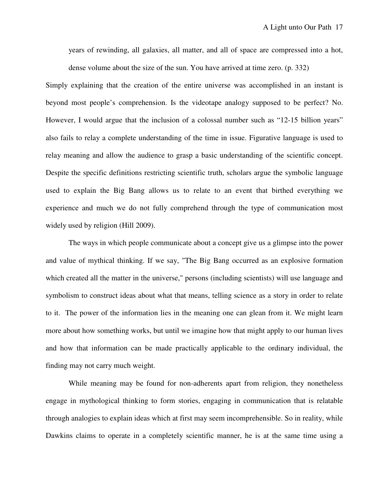years of rewinding, all galaxies, all matter, and all of space are compressed into a hot, dense volume about the size of the sun. You have arrived at time zero. (p. 332)

Simply explaining that the creation of the entire universe was accomplished in an instant is beyond most people's comprehension. Is the videotape analogy supposed to be perfect? No. However, I would argue that the inclusion of a colossal number such as "12-15 billion years" also fails to relay a complete understanding of the time in issue. Figurative language is used to relay meaning and allow the audience to grasp a basic understanding of the scientific concept. Despite the specific definitions restricting scientific truth, scholars argue the symbolic language used to explain the Big Bang allows us to relate to an event that birthed everything we experience and much we do not fully comprehend through the type of communication most widely used by religion (Hill 2009).

 The ways in which people communicate about a concept give us a glimpse into the power and value of mythical thinking. If we say, "The Big Bang occurred as an explosive formation which created all the matter in the universe," persons (including scientists) will use language and symbolism to construct ideas about what that means, telling science as a story in order to relate to it. The power of the information lies in the meaning one can glean from it. We might learn more about how something works, but until we imagine how that might apply to our human lives and how that information can be made practically applicable to the ordinary individual, the finding may not carry much weight.

 While meaning may be found for non-adherents apart from religion, they nonetheless engage in mythological thinking to form stories, engaging in communication that is relatable through analogies to explain ideas which at first may seem incomprehensible. So in reality, while Dawkins claims to operate in a completely scientific manner, he is at the same time using a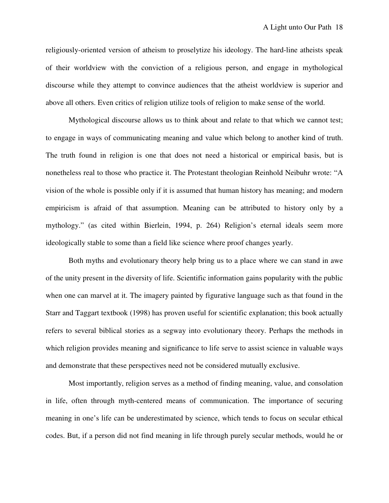religiously-oriented version of atheism to proselytize his ideology. The hard-line atheists speak of their worldview with the conviction of a religious person, and engage in mythological discourse while they attempt to convince audiences that the atheist worldview is superior and above all others. Even critics of religion utilize tools of religion to make sense of the world.

 Mythological discourse allows us to think about and relate to that which we cannot test; to engage in ways of communicating meaning and value which belong to another kind of truth. The truth found in religion is one that does not need a historical or empirical basis, but is nonetheless real to those who practice it. The Protestant theologian Reinhold Neibuhr wrote: "A vision of the whole is possible only if it is assumed that human history has meaning; and modern empiricism is afraid of that assumption. Meaning can be attributed to history only by a mythology." (as cited within Bierlein, 1994, p. 264) Religion's eternal ideals seem more ideologically stable to some than a field like science where proof changes yearly.

 Both myths and evolutionary theory help bring us to a place where we can stand in awe of the unity present in the diversity of life. Scientific information gains popularity with the public when one can marvel at it. The imagery painted by figurative language such as that found in the Starr and Taggart textbook (1998) has proven useful for scientific explanation; this book actually refers to several biblical stories as a segway into evolutionary theory. Perhaps the methods in which religion provides meaning and significance to life serve to assist science in valuable ways and demonstrate that these perspectives need not be considered mutually exclusive.

 Most importantly, religion serves as a method of finding meaning, value, and consolation in life, often through myth-centered means of communication. The importance of securing meaning in one's life can be underestimated by science, which tends to focus on secular ethical codes. But, if a person did not find meaning in life through purely secular methods, would he or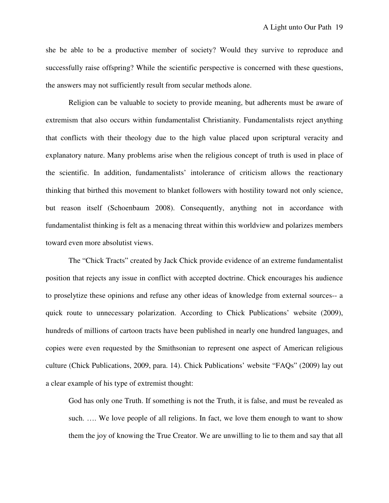she be able to be a productive member of society? Would they survive to reproduce and successfully raise offspring? While the scientific perspective is concerned with these questions, the answers may not sufficiently result from secular methods alone.

 Religion can be valuable to society to provide meaning, but adherents must be aware of extremism that also occurs within fundamentalist Christianity. Fundamentalists reject anything that conflicts with their theology due to the high value placed upon scriptural veracity and explanatory nature. Many problems arise when the religious concept of truth is used in place of the scientific. In addition, fundamentalists' intolerance of criticism allows the reactionary thinking that birthed this movement to blanket followers with hostility toward not only science, but reason itself (Schoenbaum 2008). Consequently, anything not in accordance with fundamentalist thinking is felt as a menacing threat within this worldview and polarizes members toward even more absolutist views.

 The "Chick Tracts" created by Jack Chick provide evidence of an extreme fundamentalist position that rejects any issue in conflict with accepted doctrine. Chick encourages his audience to proselytize these opinions and refuse any other ideas of knowledge from external sources-- a quick route to unnecessary polarization. According to Chick Publications' website (2009), hundreds of millions of cartoon tracts have been published in nearly one hundred languages, and copies were even requested by the Smithsonian to represent one aspect of American religious culture (Chick Publications, 2009, para. 14). Chick Publications' website "FAQs" (2009) lay out a clear example of his type of extremist thought:

God has only one Truth. If something is not the Truth, it is false, and must be revealed as such. …. We love people of all religions. In fact, we love them enough to want to show them the joy of knowing the True Creator. We are unwilling to lie to them and say that all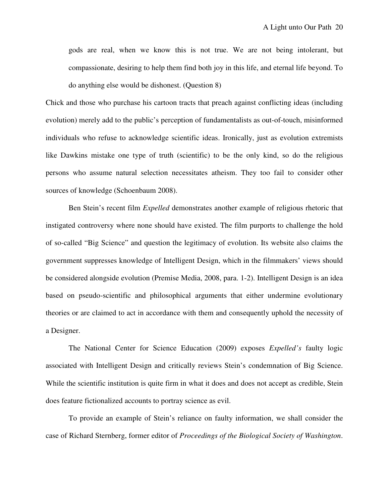gods are real, when we know this is not true. We are not being intolerant, but compassionate, desiring to help them find both joy in this life, and eternal life beyond. To do anything else would be dishonest. (Question 8)

Chick and those who purchase his cartoon tracts that preach against conflicting ideas (including evolution) merely add to the public's perception of fundamentalists as out-of-touch, misinformed individuals who refuse to acknowledge scientific ideas. Ironically, just as evolution extremists like Dawkins mistake one type of truth (scientific) to be the only kind, so do the religious persons who assume natural selection necessitates atheism. They too fail to consider other sources of knowledge (Schoenbaum 2008).

 Ben Stein's recent film *Expelled* demonstrates another example of religious rhetoric that instigated controversy where none should have existed. The film purports to challenge the hold of so-called "Big Science" and question the legitimacy of evolution. Its website also claims the government suppresses knowledge of Intelligent Design, which in the filmmakers' views should be considered alongside evolution (Premise Media, 2008, para. 1-2). Intelligent Design is an idea based on pseudo-scientific and philosophical arguments that either undermine evolutionary theories or are claimed to act in accordance with them and consequently uphold the necessity of a Designer.

 The National Center for Science Education (2009) exposes *Expelled's* faulty logic associated with Intelligent Design and critically reviews Stein's condemnation of Big Science. While the scientific institution is quite firm in what it does and does not accept as credible, Stein does feature fictionalized accounts to portray science as evil.

 To provide an example of Stein's reliance on faulty information, we shall consider the case of Richard Sternberg, former editor of *Proceedings of the Biological Society of Washington*.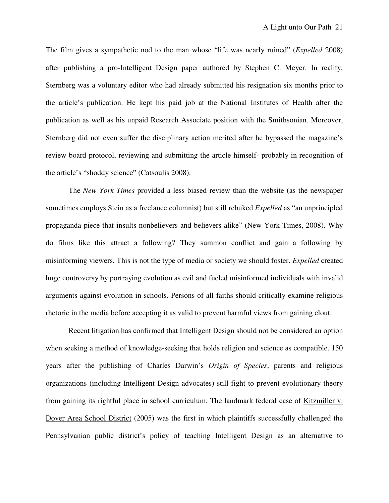The film gives a sympathetic nod to the man whose "life was nearly ruined" (*Expelled* 2008) after publishing a pro-Intelligent Design paper authored by Stephen C. Meyer. In reality, Sternberg was a voluntary editor who had already submitted his resignation six months prior to the article's publication. He kept his paid job at the National Institutes of Health after the publication as well as his unpaid Research Associate position with the Smithsonian. Moreover, Sternberg did not even suffer the disciplinary action merited after he bypassed the magazine's review board protocol, reviewing and submitting the article himself- probably in recognition of the article's "shoddy science" (Catsoulis 2008).

 The *New York Times* provided a less biased review than the website (as the newspaper sometimes employs Stein as a freelance columnist) but still rebuked *Expelled* as "an unprincipled propaganda piece that insults nonbelievers and believers alike" (New York Times, 2008). Why do films like this attract a following? They summon conflict and gain a following by misinforming viewers. This is not the type of media or society we should foster. *Expelled* created huge controversy by portraying evolution as evil and fueled misinformed individuals with invalid arguments against evolution in schools. Persons of all faiths should critically examine religious rhetoric in the media before accepting it as valid to prevent harmful views from gaining clout.

 Recent litigation has confirmed that Intelligent Design should not be considered an option when seeking a method of knowledge-seeking that holds religion and science as compatible. 150 years after the publishing of Charles Darwin's *Origin of Species*, parents and religious organizations (including Intelligent Design advocates) still fight to prevent evolutionary theory from gaining its rightful place in school curriculum. The landmark federal case of Kitzmiller v. Dover Area School District (2005) was the first in which plaintiffs successfully challenged the Pennsylvanian public district's policy of teaching Intelligent Design as an alternative to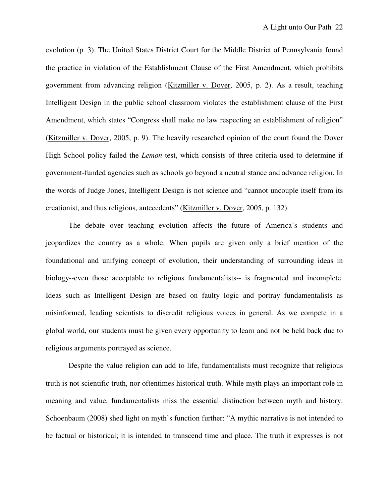evolution (p. 3). The United States District Court for the Middle District of Pennsylvania found the practice in violation of the Establishment Clause of the First Amendment, which prohibits government from advancing religion (Kitzmiller v. Dover, 2005, p. 2). As a result, teaching Intelligent Design in the public school classroom violates the establishment clause of the First Amendment, which states "Congress shall make no law respecting an establishment of religion" (Kitzmiller v. Dover, 2005, p. 9). The heavily researched opinion of the court found the Dover High School policy failed the *Lemon* test, which consists of three criteria used to determine if government-funded agencies such as schools go beyond a neutral stance and advance religion. In the words of Judge Jones, Intelligent Design is not science and "cannot uncouple itself from its creationist, and thus religious, antecedents" (Kitzmiller v. Dover, 2005, p. 132).

 The debate over teaching evolution affects the future of America's students and jeopardizes the country as a whole. When pupils are given only a brief mention of the foundational and unifying concept of evolution, their understanding of surrounding ideas in biology--even those acceptable to religious fundamentalists-- is fragmented and incomplete. Ideas such as Intelligent Design are based on faulty logic and portray fundamentalists as misinformed, leading scientists to discredit religious voices in general. As we compete in a global world, our students must be given every opportunity to learn and not be held back due to religious arguments portrayed as science.

 Despite the value religion can add to life, fundamentalists must recognize that religious truth is not scientific truth, nor oftentimes historical truth. While myth plays an important role in meaning and value, fundamentalists miss the essential distinction between myth and history. Schoenbaum (2008) shed light on myth's function further: "A mythic narrative is not intended to be factual or historical; it is intended to transcend time and place. The truth it expresses is not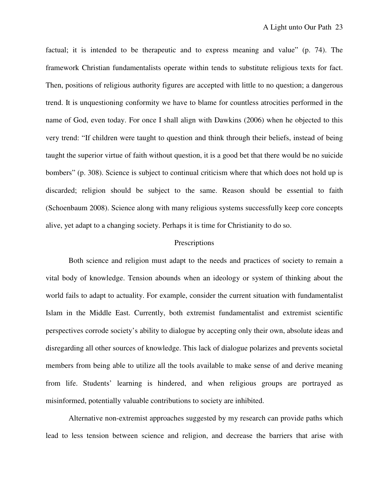factual; it is intended to be therapeutic and to express meaning and value" (p. 74). The framework Christian fundamentalists operate within tends to substitute religious texts for fact. Then, positions of religious authority figures are accepted with little to no question; a dangerous trend. It is unquestioning conformity we have to blame for countless atrocities performed in the name of God, even today. For once I shall align with Dawkins (2006) when he objected to this very trend: "If children were taught to question and think through their beliefs, instead of being taught the superior virtue of faith without question, it is a good bet that there would be no suicide bombers" (p. 308). Science is subject to continual criticism where that which does not hold up is discarded; religion should be subject to the same. Reason should be essential to faith (Schoenbaum 2008). Science along with many religious systems successfully keep core concepts alive, yet adapt to a changing society. Perhaps it is time for Christianity to do so.

## Prescriptions

 Both science and religion must adapt to the needs and practices of society to remain a vital body of knowledge. Tension abounds when an ideology or system of thinking about the world fails to adapt to actuality. For example, consider the current situation with fundamentalist Islam in the Middle East. Currently, both extremist fundamentalist and extremist scientific perspectives corrode society's ability to dialogue by accepting only their own, absolute ideas and disregarding all other sources of knowledge. This lack of dialogue polarizes and prevents societal members from being able to utilize all the tools available to make sense of and derive meaning from life. Students' learning is hindered, and when religious groups are portrayed as misinformed, potentially valuable contributions to society are inhibited.

 Alternative non-extremist approaches suggested by my research can provide paths which lead to less tension between science and religion, and decrease the barriers that arise with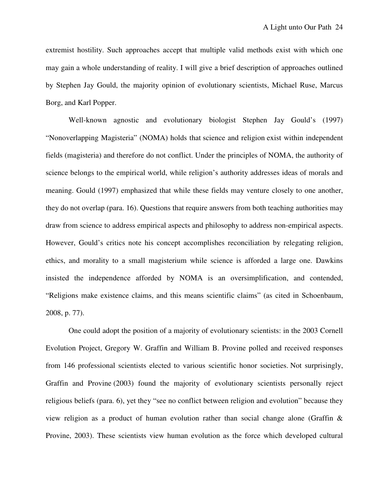extremist hostility. Such approaches accept that multiple valid methods exist with which one may gain a whole understanding of reality. I will give a brief description of approaches outlined by Stephen Jay Gould, the majority opinion of evolutionary scientists, Michael Ruse, Marcus Borg, and Karl Popper.

 Well-known agnostic and evolutionary biologist Stephen Jay Gould's (1997) "Nonoverlapping Magisteria" (NOMA) holds that science and religion exist within independent fields (magisteria) and therefore do not conflict. Under the principles of NOMA, the authority of science belongs to the empirical world, while religion's authority addresses ideas of morals and meaning. Gould (1997) emphasized that while these fields may venture closely to one another, they do not overlap (para. 16). Questions that require answers from both teaching authorities may draw from science to address empirical aspects and philosophy to address non-empirical aspects. However, Gould's critics note his concept accomplishes reconciliation by relegating religion, ethics, and morality to a small magisterium while science is afforded a large one. Dawkins insisted the independence afforded by NOMA is an oversimplification, and contended, "Religions make existence claims, and this means scientific claims" (as cited in Schoenbaum, 2008, p. 77).

 One could adopt the position of a majority of evolutionary scientists: in the 2003 Cornell Evolution Project, Gregory W. Graffin and William B. Provine polled and received responses from 146 professional scientists elected to various scientific honor societies. Not surprisingly, Graffin and Provine (2003) found the majority of evolutionary scientists personally reject religious beliefs (para. 6), yet they "see no conflict between religion and evolution" because they view religion as a product of human evolution rather than social change alone (Graffin & Provine, 2003). These scientists view human evolution as the force which developed cultural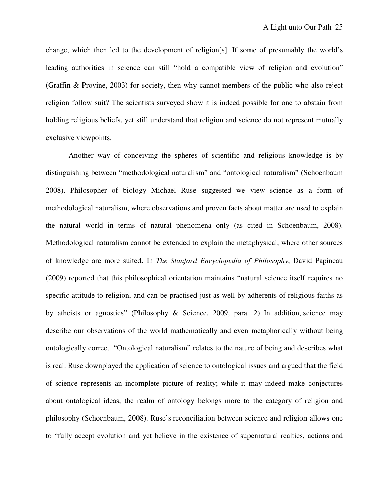change, which then led to the development of religion[s]. If some of presumably the world's leading authorities in science can still "hold a compatible view of religion and evolution" (Graffin & Provine, 2003) for society, then why cannot members of the public who also reject religion follow suit? The scientists surveyed show it is indeed possible for one to abstain from holding religious beliefs, yet still understand that religion and science do not represent mutually exclusive viewpoints.

 Another way of conceiving the spheres of scientific and religious knowledge is by distinguishing between "methodological naturalism" and "ontological naturalism" (Schoenbaum 2008). Philosopher of biology Michael Ruse suggested we view science as a form of methodological naturalism, where observations and proven facts about matter are used to explain the natural world in terms of natural phenomena only (as cited in Schoenbaum, 2008). Methodological naturalism cannot be extended to explain the metaphysical, where other sources of knowledge are more suited. In *The Stanford Encyclopedia of Philosophy*, David Papineau (2009) reported that this philosophical orientation maintains "natural science itself requires no specific attitude to religion, and can be practised just as well by adherents of religious faiths as by atheists or agnostics" (Philosophy & Science, 2009, para. 2). In addition, science may describe our observations of the world mathematically and even metaphorically without being ontologically correct. "Ontological naturalism" relates to the nature of being and describes what is real. Ruse downplayed the application of science to ontological issues and argued that the field of science represents an incomplete picture of reality; while it may indeed make conjectures about ontological ideas, the realm of ontology belongs more to the category of religion and philosophy (Schoenbaum, 2008). Ruse's reconciliation between science and religion allows one to "fully accept evolution and yet believe in the existence of supernatural realties, actions and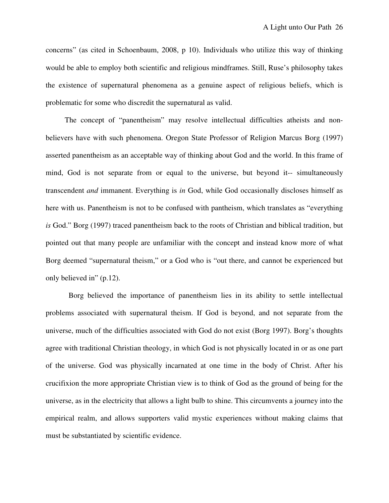concerns" (as cited in Schoenbaum, 2008, p 10). Individuals who utilize this way of thinking would be able to employ both scientific and religious mindframes. Still, Ruse's philosophy takes the existence of supernatural phenomena as a genuine aspect of religious beliefs, which is problematic for some who discredit the supernatural as valid.

 The concept of "panentheism" may resolve intellectual difficulties atheists and nonbelievers have with such phenomena. Oregon State Professor of Religion Marcus Borg (1997) asserted panentheism as an acceptable way of thinking about God and the world. In this frame of mind, God is not separate from or equal to the universe, but beyond it-- simultaneously transcendent *and* immanent. Everything is *in* God, while God occasionally discloses himself as here with us. Panentheism is not to be confused with pantheism, which translates as "everything *is* God." Borg (1997) traced panentheism back to the roots of Christian and biblical tradition, but pointed out that many people are unfamiliar with the concept and instead know more of what Borg deemed "supernatural theism," or a God who is "out there, and cannot be experienced but only believed in" (p.12).

 Borg believed the importance of panentheism lies in its ability to settle intellectual problems associated with supernatural theism. If God is beyond, and not separate from the universe, much of the difficulties associated with God do not exist (Borg 1997). Borg's thoughts agree with traditional Christian theology, in which God is not physically located in or as one part of the universe. God was physically incarnated at one time in the body of Christ. After his crucifixion the more appropriate Christian view is to think of God as the ground of being for the universe, as in the electricity that allows a light bulb to shine. This circumvents a journey into the empirical realm, and allows supporters valid mystic experiences without making claims that must be substantiated by scientific evidence.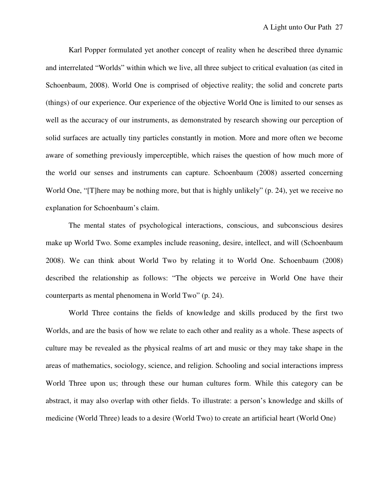Karl Popper formulated yet another concept of reality when he described three dynamic and interrelated "Worlds" within which we live, all three subject to critical evaluation (as cited in Schoenbaum, 2008). World One is comprised of objective reality; the solid and concrete parts (things) of our experience. Our experience of the objective World One is limited to our senses as well as the accuracy of our instruments, as demonstrated by research showing our perception of solid surfaces are actually tiny particles constantly in motion. More and more often we become aware of something previously imperceptible, which raises the question of how much more of the world our senses and instruments can capture. Schoenbaum (2008) asserted concerning World One, "[T]here may be nothing more, but that is highly unlikely" (p. 24), yet we receive no explanation for Schoenbaum's claim.

 The mental states of psychological interactions, conscious, and subconscious desires make up World Two. Some examples include reasoning, desire, intellect, and will (Schoenbaum 2008). We can think about World Two by relating it to World One. Schoenbaum (2008) described the relationship as follows: "The objects we perceive in World One have their counterparts as mental phenomena in World Two" (p. 24).

 World Three contains the fields of knowledge and skills produced by the first two Worlds, and are the basis of how we relate to each other and reality as a whole. These aspects of culture may be revealed as the physical realms of art and music or they may take shape in the areas of mathematics, sociology, science, and religion. Schooling and social interactions impress World Three upon us; through these our human cultures form. While this category can be abstract, it may also overlap with other fields. To illustrate: a person's knowledge and skills of medicine (World Three) leads to a desire (World Two) to create an artificial heart (World One)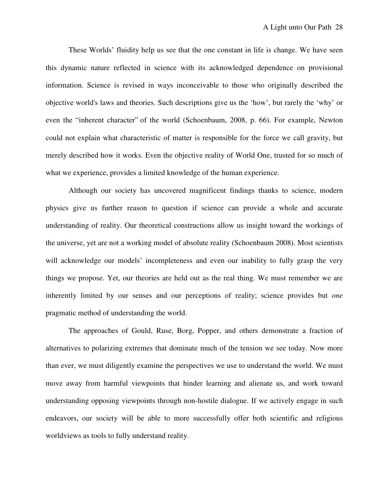These Worlds' fluidity help us see that the one constant in life is change. We have seen this dynamic nature reflected in science with its acknowledged dependence on provisional information. Science is revised in ways inconceivable to those who originally described the objective world's laws and theories. Such descriptions give us the 'how', but rarely the 'why' or even the "inherent character" of the world (Schoenbaum, 2008, p. 66). For example, Newton could not explain what characteristic of matter is responsible for the force we call gravity, but merely described how it works. Even the objective reality of World One, trusted for so much of what we experience, provides a limited knowledge of the human experience.

 Although our society has uncovered magnificent findings thanks to science, modern physics give us further reason to question if science can provide a whole and accurate understanding of reality. Our theoretical constructions allow us insight toward the workings of the universe, yet are not a working model of absolute reality (Schoenbaum 2008). Most scientists will acknowledge our models' incompleteness and even our inability to fully grasp the very things we propose. Yet, our theories are held out as the real thing. We must remember we are inherently limited by our senses and our perceptions of reality; science provides but *one* pragmatic method of understanding the world.

 The approaches of Gould, Ruse, Borg, Popper, and others demonstrate a fraction of alternatives to polarizing extremes that dominate much of the tension we see today. Now more than ever, we must diligently examine the perspectives we use to understand the world. We must move away from harmful viewpoints that hinder learning and alienate us, and work toward understanding opposing viewpoints through non-hostile dialogue. If we actively engage in such endeavors, our society will be able to more successfully offer both scientific and religious worldviews as tools to fully understand reality.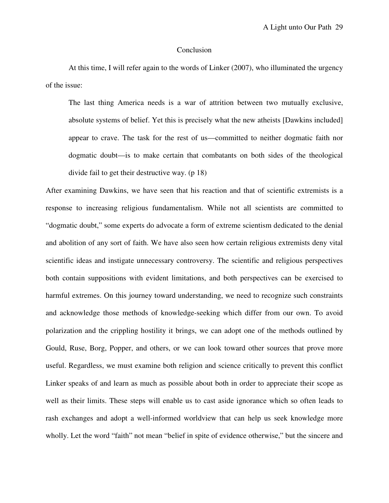### Conclusion

 At this time, I will refer again to the words of Linker (2007), who illuminated the urgency of the issue:

The last thing America needs is a war of attrition between two mutually exclusive, absolute systems of belief. Yet this is precisely what the new atheists [Dawkins included] appear to crave. The task for the rest of us—committed to neither dogmatic faith nor dogmatic doubt—is to make certain that combatants on both sides of the theological divide fail to get their destructive way. (p 18)

After examining Dawkins, we have seen that his reaction and that of scientific extremists is a response to increasing religious fundamentalism. While not all scientists are committed to "dogmatic doubt," some experts do advocate a form of extreme scientism dedicated to the denial and abolition of any sort of faith. We have also seen how certain religious extremists deny vital scientific ideas and instigate unnecessary controversy. The scientific and religious perspectives both contain suppositions with evident limitations, and both perspectives can be exercised to harmful extremes. On this journey toward understanding, we need to recognize such constraints and acknowledge those methods of knowledge-seeking which differ from our own. To avoid polarization and the crippling hostility it brings, we can adopt one of the methods outlined by Gould, Ruse, Borg, Popper, and others, or we can look toward other sources that prove more useful. Regardless, we must examine both religion and science critically to prevent this conflict Linker speaks of and learn as much as possible about both in order to appreciate their scope as well as their limits. These steps will enable us to cast aside ignorance which so often leads to rash exchanges and adopt a well-informed worldview that can help us seek knowledge more wholly. Let the word "faith" not mean "belief in spite of evidence otherwise," but the sincere and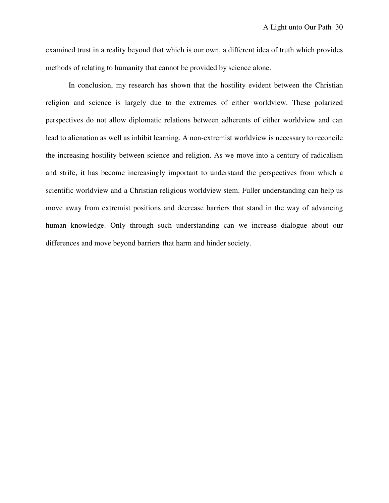examined trust in a reality beyond that which is our own, a different idea of truth which provides methods of relating to humanity that cannot be provided by science alone.

 In conclusion, my research has shown that the hostility evident between the Christian religion and science is largely due to the extremes of either worldview. These polarized perspectives do not allow diplomatic relations between adherents of either worldview and can lead to alienation as well as inhibit learning. A non-extremist worldview is necessary to reconcile the increasing hostility between science and religion. As we move into a century of radicalism and strife, it has become increasingly important to understand the perspectives from which a scientific worldview and a Christian religious worldview stem. Fuller understanding can help us move away from extremist positions and decrease barriers that stand in the way of advancing human knowledge. Only through such understanding can we increase dialogue about our differences and move beyond barriers that harm and hinder society.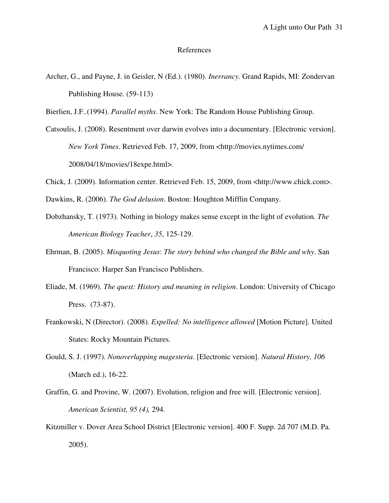#### References

- Archer, G., and Payne, J. in Geisler, N (Ed.). (1980). *Inerrancy*. Grand Rapids, MI: Zondervan Publishing House. (59-113)
- Bierlien, J.F..(1994). *Parallel myths*. New York: The Random House Publishing Group.
- Catsoulis, J. (2008). Resentment over darwin evolves into a documentary. [Electronic version]. *New York Times*. Retrieved Feb. 17, 2009, from <http://movies.nytimes.com/ 2008/04/18/movies/18expe.html>.
- Chick, J. (2009). Information center. Retrieved Feb. 15, 2009, from <http://www.chick.com>.

Dawkins, R. (2006). *The God delusion*. Boston: Houghton Mifflin Company.

- Dobzhansky, T. (1973). Nothing in biology makes sense except in the light of evolution*. The American Biology Teacher*, *35*, 125-129.
- Ehrman, B. (2005). *Misquoting Jesus*: *The story behind who changed the Bible and why*. San Francisco: Harper San Francisco Publishers.
- Eliade, M. (1969). *The quest: History and meaning in religion*. London: University of Chicago Press. (73-87).
- Frankowski, N (Director). (2008). *Expelled: No intelligence allowed* [Motion Picture]. United States: Rocky Mountain Pictures.
- Gould, S. J. (1997). *Nonoverlapping magesteria*. [Electronic version]. *Natural History, 106*  (March ed.), 16-22.
- Graffin, G. and Provine, W. (2007). Evolution, religion and free will. [Electronic version]. *American Scientist, 95 (4),* 294.
- Kitzmiller v. Dover Area School District [Electronic version]. 400 F. Supp. 2d 707 (M.D. Pa. 2005).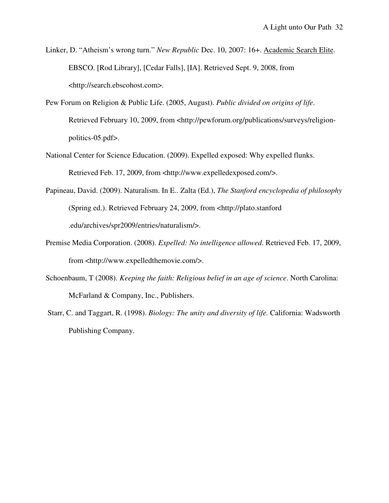- Linker, D. "Atheism's wrong turn." *New Republic* Dec. 10, 2007: 16+. Academic Search Elite. EBSCO. [Rod Library], [Cedar Falls], [IA]. Retrieved Sept. 9, 2008, from <http://search.ebscohost.com>.
- Pew Forum on Religion & Public Life. (2005, August). *Public divided on origins of life*. Retrieved February 10, 2009, from <http://pewforum.org/publications/surveys/religionpolitics-05.pdf>.
- National Center for Science Education. (2009). Expelled exposed: Why expelled flunks. Retrieved Feb. 17, 2009, from <http://www.expelledexposed.com/>.
- Papineau, David. (2009). Naturalism. In E.. Zalta (Ed.), *The Stanford encyclopedia of philosophy* (Spring ed.). Retrieved February 24, 2009, from <http://plato.stanford .edu/archives/spr2009/entries/naturalism/>.
- Premise Media Corporation. (2008). *Expelled: No intelligence allowed*. Retrieved Feb. 17, 2009, from <http://www.expelledthemovie.com/>.
- Schoenbaum, T (2008). *Keeping the faith: Religious belief in an age of science*. North Carolina: McFarland & Company, Inc., Publishers.
- Starr, C. and Taggart, R. (1998). *Biology: The unity and diversity of life.* California: Wadsworth Publishing Company.